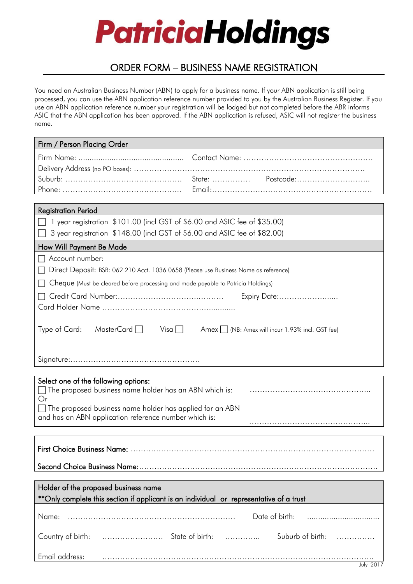# **PatriciaHoldings**

# ORDER FORM – BUSINESS NAME REGISTRATION

You need an Australian Business Number (ABN) to apply for a business name. If your ABN application is still being processed, you can use the ABN application reference number provided to you by the Australian Business Register. If you use an ABN application reference number your registration will be lodged but not completed before the ABR informs ASIC that the ABN application has been approved. If the ABN application is refused, ASIC will not register the business name.

| Firm / Person Placing Order                                                                             |  |  |
|---------------------------------------------------------------------------------------------------------|--|--|
|                                                                                                         |  |  |
|                                                                                                         |  |  |
|                                                                                                         |  |  |
|                                                                                                         |  |  |
| <b>Registration Period</b>                                                                              |  |  |
| 1 year registration \$101.00 (incl GST of \$6.00 and ASIC fee of \$35.00)                               |  |  |
| 3 year registration \$148.00 (incl GST of \$6.00 and ASIC fee of \$82.00)                               |  |  |
| How Will Payment Be Made                                                                                |  |  |
| Account number:                                                                                         |  |  |
| Direct Deposit: BSB: 062 210 Acct. 1036 0658 (Please use Business Name as reference)                    |  |  |
| Cheque (Must be cleared before processing and made payable to Patricia Holdings)                        |  |  |
| Expiry Date:                                                                                            |  |  |
|                                                                                                         |  |  |
|                                                                                                         |  |  |
| Type of Card:<br>MasterCard $\Box$<br>$Visa \Box$<br>Amex     (NB: Amex will incur 1.93% incl. GST fee) |  |  |
|                                                                                                         |  |  |
|                                                                                                         |  |  |
|                                                                                                         |  |  |
| Select one of the following options:                                                                    |  |  |
| $\Box$ The proposed business name holder has an ABN which is:                                           |  |  |
| Or<br>The proposed business name holder has applied for an ABN                                          |  |  |
| and has an ABN application reference number which is:                                                   |  |  |
|                                                                                                         |  |  |
|                                                                                                         |  |  |
|                                                                                                         |  |  |
|                                                                                                         |  |  |
|                                                                                                         |  |  |
| Holder of the proposed business name                                                                    |  |  |
| **Only complete this section if applicant is an individual or representative of a trust                 |  |  |
| Date of birth:<br>Name:                                                                                 |  |  |
|                                                                                                         |  |  |
| Suburb of birth:                                                                                        |  |  |
|                                                                                                         |  |  |
| Email address:                                                                                          |  |  |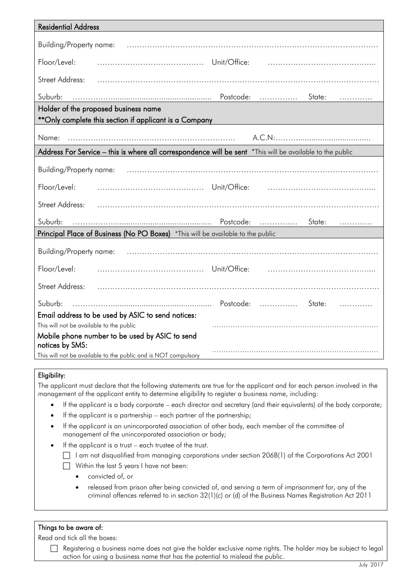| <b>Residential Address</b>                                                                                |  |  |  |
|-----------------------------------------------------------------------------------------------------------|--|--|--|
| Building/Property name:                                                                                   |  |  |  |
| Floor/Level:<br>Unit/Office:                                                                              |  |  |  |
| Street Address:                                                                                           |  |  |  |
| Suburb:<br>State:<br>.<br>.                                                                               |  |  |  |
| Holder of the proposed business name                                                                      |  |  |  |
| **Only complete this section if applicant is a Company                                                    |  |  |  |
| Name:                                                                                                     |  |  |  |
| Address For Service - this is where all correspondence will be sent *This will be available to the public |  |  |  |
| Building/Property name:                                                                                   |  |  |  |
| Floor/Level:                                                                                              |  |  |  |
| <b>Street Address:</b>                                                                                    |  |  |  |
| Suburb:<br>State:<br>.                                                                                    |  |  |  |
| Principal Place of Business (No PO Boxes) *This will be available to the public                           |  |  |  |
| Building/Property name:                                                                                   |  |  |  |
| Floor/Level:<br>Unit/Office:                                                                              |  |  |  |
| <b>Street Address:</b>                                                                                    |  |  |  |
| Suburb:<br>Postcode:<br>State:                                                                            |  |  |  |
| Email address to be used by ASIC to send notices:                                                         |  |  |  |
| This will not be available to the public                                                                  |  |  |  |
| Mobile phone number to be used by ASIC to send<br>notices by SMS:                                         |  |  |  |
| This will not be available to the public and is NOT compulsory                                            |  |  |  |

# Eligibility:

The applicant must declare that the following statements are true for the applicant and for each person involved in the management of the applicant entity to determine eligibility to register a business name, including:

- If the applicant is a body corporate each director and secretary (and their equivalents) of the body corporate;
- If the applicant is a partnership each partner of the partnership;
- If the applicant is an unincorporated association of other body, each member of the committee of management of the unincorporated association or body;
- If the applicant is a trust each trustee of the trust.
	- $\Box$  I am not disqualified from managing corporations under section 206B(1) of the Corporations Act 2001
	- $\Box$  Within the last 5 years I have not been:
		- convicted of, or
		- released from prison after being convicted of, and serving a term of imprisonment for, any of the criminal offences referred to in section 32(1)(c) or (d) of the Business Names Registration Act 2011

## Things to be aware of:

Read and tick all the boxes:

 Registering a business name does not give the holder exclusive name rights. The holder may be subject to legal action for using a business name that has the potential to mislead the public.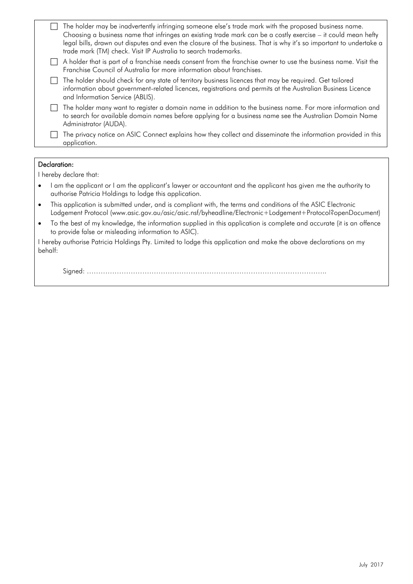|                        |                                                                                                                                                                                        | The holder may be inadvertently infringing someone else's trade mark with the proposed business name.<br>Choosing a business name that infringes an existing trade mark can be a costly exercise – it could mean hefty<br>legal bills, drawn out disputes and even the closure of the business. That is why it's so important to undertake a<br>trade mark (TM) check. Visit IP Australia to search trademarks. |  |
|------------------------|----------------------------------------------------------------------------------------------------------------------------------------------------------------------------------------|-----------------------------------------------------------------------------------------------------------------------------------------------------------------------------------------------------------------------------------------------------------------------------------------------------------------------------------------------------------------------------------------------------------------|--|
|                        |                                                                                                                                                                                        | A holder that is part of a franchise needs consent from the franchise owner to use the business name. Visit the<br>Franchise Council of Australia for more information about franchises.                                                                                                                                                                                                                        |  |
|                        |                                                                                                                                                                                        | The holder should check for any state of territory business licences that may be required. Get tailored<br>information about government-related licences, registrations and permits at the Australian Business Licence<br>and Information Service (ABLIS).                                                                                                                                                      |  |
|                        |                                                                                                                                                                                        | The holder many want to register a domain name in addition to the business name. For more information and<br>to search for available domain names before applying for a business name see the Australian Domain Name<br>Administrator (AUDA).                                                                                                                                                                   |  |
|                        |                                                                                                                                                                                        | The privacy notice on ASIC Connect explains how they collect and disseminate the information provided in this<br>application.                                                                                                                                                                                                                                                                                   |  |
|                        |                                                                                                                                                                                        |                                                                                                                                                                                                                                                                                                                                                                                                                 |  |
| Declaration:           |                                                                                                                                                                                        |                                                                                                                                                                                                                                                                                                                                                                                                                 |  |
| I hereby declare that: |                                                                                                                                                                                        |                                                                                                                                                                                                                                                                                                                                                                                                                 |  |
|                        | I am the applicant or I am the applicant's lawyer or accountant and the applicant has given me the authority to<br>$\bullet$<br>authorise Patricia Holdings to lodge this application. |                                                                                                                                                                                                                                                                                                                                                                                                                 |  |
|                        | $\bullet$                                                                                                                                                                              | This application is submitted under, and is compliant with, the terms and conditions of the ASIC Electronic<br>Lodgement Protocol (www.asic.gov.au/asic/asic.nsf/byheadline/Electronic+Lodgement+Protocol?openDocument)                                                                                                                                                                                         |  |

 To the best of my knowledge, the information supplied in this application is complete and accurate (it is an offence to provide false or misleading information to ASIC).

I hereby authorise Patricia Holdings Pty. Limited to lodge this application and make the above declarations on my behalf:

Signed: …………………………………………………………………………………………..